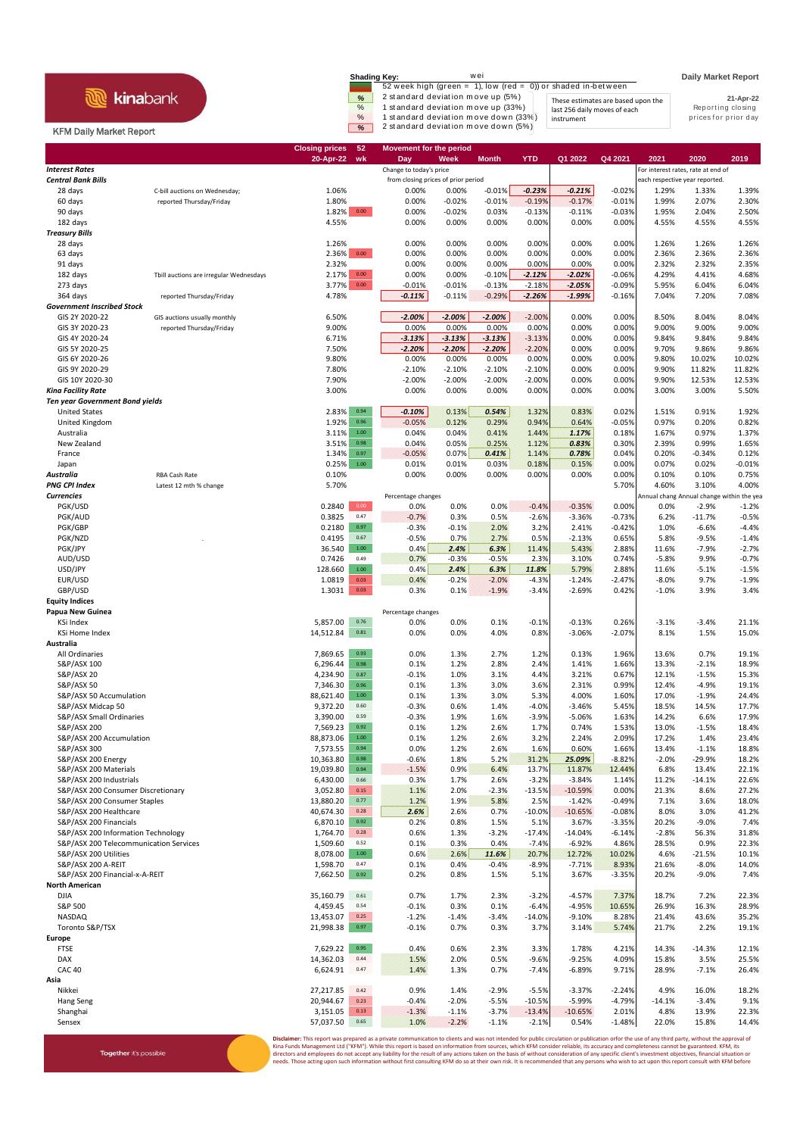## **R** kinabank

Together it's possible

## KFM Daily Market Report

| <b>Shading Key:</b> | wei                                                              |                                    | <b>Daily Market Report</b> |
|---------------------|------------------------------------------------------------------|------------------------------------|----------------------------|
|                     | 52 week high (green = $1$ ), low (red = 0)) or shaded in-between |                                    |                            |
| %                   | 2 standard deviation move up (5%)                                | These estimates are based upon the | 21-Apr-22                  |
| $\%$                | 1 standard deviation move up (33%)                               | last 256 daily moves of each       | Reporting closing          |
| $\%$                | 1 standard deviation move down (33%)                             | instrument                         | prices for prior day       |
| $\infty$            | 2 standard deviation move down (5%)                              |                                    |                            |

|                                                      |                                         | <b>Closing prices</b> | 52               | <b>Movement for the period</b>                                 |              |                 |                    |                      |                      |                                                                      |                    |                    |
|------------------------------------------------------|-----------------------------------------|-----------------------|------------------|----------------------------------------------------------------|--------------|-----------------|--------------------|----------------------|----------------------|----------------------------------------------------------------------|--------------------|--------------------|
| <b>Interest Rates</b>                                |                                         | 20-Apr-22             | wk               | Day                                                            | Week         | <b>Month</b>    | <b>YTD</b>         | Q1 2022              | Q4 2021              | 2021                                                                 | 2020               | 2019               |
| <b>Central Bank Bills</b>                            |                                         |                       |                  | Change to today's price<br>from closing prices of prior period |              |                 |                    |                      |                      | For interest rates, rate at end of<br>each respective year reported. |                    |                    |
| 28 days                                              | C-bill auctions on Wednesday;           | 1.06%                 |                  | 0.00%                                                          | 0.00%        | $-0.01%$        | $-0.23%$           | $-0.21%$             | $-0.02%$             | 1.29%                                                                | 1.33%              | 1.39%              |
| 60 days                                              | reported Thursday/Friday                | 1.80%                 |                  | 0.00%                                                          | $-0.02%$     | $-0.01%$        | $-0.19%$           | $-0.17%$             | $-0.01%$             | 1.99%                                                                | 2.07%              | 2.30%              |
| 90 days                                              |                                         | 1.82% 0.00            |                  | 0.00%                                                          | $-0.02%$     | 0.03%           | $-0.13%$           | $-0.11%$             | $-0.03%$             | 1.95%                                                                | 2.04%              | 2.50%              |
| 182 days                                             |                                         | 4.55%                 |                  | 0.00%                                                          | 0.00%        | 0.00%           | 0.00%              | 0.00%                | 0.00%                | 4.55%                                                                | 4.55%              | 4.55%              |
| <b>Treasury Bills</b>                                |                                         |                       |                  |                                                                |              |                 |                    |                      |                      |                                                                      |                    |                    |
| 28 days                                              |                                         | 1.26%                 |                  | 0.00%                                                          | 0.00%        | 0.00%           | 0.00%              | 0.00%                | 0.00%                | 1.26%                                                                | 1.26%              | 1.26%              |
| 63 days                                              |                                         | 2.36%                 | $0.00\,$         | 0.00%                                                          | 0.00%        | 0.00%           | 0.00%              | 0.00%                | 0.00%                | 2.36%                                                                | 2.36%              | 2.36%              |
| 91 days                                              |                                         | 2.32%                 |                  | 0.00%                                                          | 0.00%        | 0.00%           | 0.00%              | 0.00%                | 0.00%                | 2.32%                                                                | 2.32%              | 2.35%              |
| 182 days                                             | Tbill auctions are irregular Wednesdays | 2.17%                 | 0.00             | 0.00%                                                          | 0.00%        | $-0.10%$        | $-2.12%$           | $-2.02%$             | $-0.06%$             | 4.29%                                                                | 4.41%              | 4.68%              |
| 273 days                                             |                                         | 3.77%                 | $0.00\,$         | $-0.01%$                                                       | $-0.01%$     | $-0.13%$        | $-2.18%$           | $-2.05%$             | $-0.09%$             | 5.95%                                                                | 6.04%              | 6.04%              |
| 364 days                                             | reported Thursday/Friday                | 4.78%                 |                  | $-0.11%$                                                       | $-0.11%$     | $-0.29%$        | $-2.26%$           | $-1.99%$             | $-0.16%$             | 7.04%                                                                | 7.20%              | 7.08%              |
| <b>Government Inscribed Stock</b>                    |                                         |                       |                  |                                                                |              |                 |                    |                      |                      |                                                                      |                    |                    |
| GIS 2Y 2020-22                                       | GIS auctions usually monthly            | 6.50%                 |                  | $-2.00%$                                                       | $-2.00%$     | $-2.00%$        | $-2.00%$           | 0.00%                | 0.00%                | 8.50%                                                                | 8.04%              | 8.04%              |
| GIS 3Y 2020-23                                       | reported Thursday/Friday                | 9.00%                 |                  | 0.00%                                                          | 0.00%        | 0.00%           | 0.00%              | 0.00%                | 0.00%                | 9.00%                                                                | 9.00%              | 9.00%              |
| GIS 4Y 2020-24                                       |                                         | 6.71%                 |                  | $-3.13%$                                                       | $-3.13%$     | $-3.13%$        | $-3.13%$           | 0.00%                | 0.00%                | 9.84%                                                                | 9.84%              | 9.84%              |
| GIS 5Y 2020-25                                       |                                         | 7.50%                 |                  | $-2.20%$                                                       | $-2.20%$     | $-2.20%$        | $-2.20%$           | 0.00%                | 0.00%                | 9.70%                                                                | 9.86%              | 9.86%              |
| GIS 6Y 2020-26                                       |                                         | 9.80%                 |                  | 0.00%                                                          | 0.00%        | 0.00%           | 0.00%              | 0.00%                | 0.00%                | 9.80%                                                                | 10.02%             | 10.02%             |
| GIS 9Y 2020-29                                       |                                         | 7.80%                 |                  | $-2.10%$                                                       | $-2.10%$     | $-2.10%$        | $-2.10%$           | 0.00%                | 0.00%                | 9.90%                                                                | 11.82%             | 11.82%             |
| GIS 10Y 2020-30                                      |                                         | 7.90%                 |                  | $-2.00%$                                                       | $-2.00%$     | $-2.00%$        | $-2.00%$           | 0.00%                | 0.00%                | 9.90%                                                                | 12.53%             | 12.53%             |
| Kina Facility Rate                                   |                                         | 3.00%                 |                  | 0.00%                                                          | 0.00%        | 0.00%           | 0.00%              | 0.00%                | 0.00%                | 3.00%                                                                | 3.00%              | 5.50%              |
| <b>Ten year Government Bond yields</b>               |                                         |                       |                  |                                                                |              |                 |                    |                      |                      |                                                                      |                    |                    |
| <b>United States</b>                                 |                                         | 2.83%                 | 0.94             | $-0.10%$                                                       | 0.13%        | 0.54%           | 1.32%              | 0.83%                | 0.02%                | 1.51%                                                                | 0.91%              | 1.92%              |
| United Kingdom                                       |                                         | 1.92%                 | 0.96             | $-0.05%$                                                       | 0.12%        | 0.29%           | 0.94%              | 0.64%                | $-0.05%$             | 0.97%                                                                | 0.20%              | 0.82%              |
| Australia                                            |                                         | 3.11%                 | 1.00             | 0.04%                                                          | 0.04%        | 0.41%           | 1.44%              | 1.17%                | 0.18%                | 1.67%                                                                | 0.97%              | 1.37%              |
| New Zealand                                          |                                         | 3.51%                 | 0.98             | 0.04%                                                          | 0.05%        | 0.25%           | 1.12%              | 0.83%                | 0.30%                | 2.39%                                                                | 0.99%              | 1.65%              |
| France                                               |                                         | 1.34%                 | 0.97             | $-0.05%$                                                       | 0.07%        | 0.41%           | 1.14%              | 0.78%                | 0.04%                | 0.20%                                                                | $-0.34%$           | 0.12%              |
| Japan                                                |                                         | 0.25%                 | $1.00\,$         | 0.01%                                                          | 0.01%        | 0.03%           | 0.18%              | 0.15%                | 0.00%                | 0.07%                                                                | 0.02%              | $-0.01%$           |
| Australia                                            | RBA Cash Rate                           | 0.10%                 |                  | 0.00%                                                          | 0.00%        | 0.00%           | 0.00%              | 0.00%                | 0.00%                | 0.10%                                                                | 0.10%              | 0.75%              |
| <b>PNG CPI Index</b>                                 | Latest 12 mth % change                  | 5.70%                 |                  |                                                                |              |                 |                    |                      | 5.70%                | 4.60%                                                                | 3.10%              | 4.00%              |
| <b>Currencies</b>                                    |                                         |                       | 0.00             | Percentage changes                                             | 0.0%         | 0.0%            |                    |                      |                      | Annual chang Annual change within the yea                            | $-2.9%$            |                    |
| PGK/USD<br>PGK/AUD                                   |                                         | 0.2840<br>0.3825      | 0.47             | 0.0%                                                           | 0.3%         | 0.5%            | $-0.4%$<br>$-2.6%$ | $-0.35%$<br>$-3.36%$ | 0.00%                | 0.0%<br>6.2%                                                         | $-11.7%$           | $-1.2%$<br>$-0.5%$ |
| PGK/GBP                                              |                                         | 0.2180                | 0.97             | $-0.7%$                                                        | $-0.1%$      | 2.0%            | 3.2%               |                      | $-0.73%$<br>$-0.42%$ |                                                                      | $-6.6%$            | $-4.4%$            |
| PGK/NZD                                              |                                         | 0.4195                | 0.67             | $-0.3%$<br>$-0.5%$                                             | 0.7%         | 2.7%            | 0.5%               | 2.41%<br>$-2.13%$    | 0.65%                | 1.0%<br>5.8%                                                         | $-9.5%$            | $-1.4%$            |
| PGK/JPY                                              |                                         | 36.540                | $1.00\,$         | 0.4%                                                           | 2.4%         | 6.3%            | 11.4%              | 5.43%                | 2.88%                | 11.6%                                                                | $-7.9%$            | $-2.7%$            |
| AUD/USD                                              |                                         | 0.7426                | 0.49             | 0.7%                                                           | $-0.3%$      | $-0.5%$         | 2.3%               | 3.10%                | 0.74%                | $-5.8%$                                                              | 9.9%               | $-0.7%$            |
| USD/JPY                                              |                                         | 128.660               | $1.00\,$         | 0.4%                                                           | 2.4%         | 6.3%            | 11.8%              | 5.79%                | 2.88%                | 11.6%                                                                | $-5.1%$            | $-1.5%$            |
| EUR/USD                                              |                                         | 1.0819                | 0.03             | 0.4%                                                           | $-0.2%$      | $-2.0%$         | $-4.3%$            | $-1.24%$             | $-2.47%$             | $-8.0%$                                                              | 9.7%               | $-1.9%$            |
| GBP/USD                                              |                                         | 1.3031                | 0.03             | 0.3%                                                           | 0.1%         | $-1.9%$         | $-3.4%$            | $-2.69%$             | 0.42%                | $-1.0%$                                                              | 3.9%               | 3.4%               |
| <b>Equity Indices</b>                                |                                         |                       |                  |                                                                |              |                 |                    |                      |                      |                                                                      |                    |                    |
| Papua New Guinea                                     |                                         |                       |                  | Percentage changes                                             |              |                 |                    |                      |                      |                                                                      |                    |                    |
| KSi Index                                            |                                         | 5,857.00              | 0.76             | 0.0%                                                           | 0.0%         | 0.1%            | $-0.1%$            | $-0.13%$             | 0.26%                | $-3.1%$                                                              | $-3.4%$            | 21.1%              |
| <b>KSi Home Index</b>                                |                                         | 14,512.84             | $\bf 0.81$       | 0.0%                                                           | 0.0%         | 4.0%            | 0.8%               | $-3.06%$             | $-2.07%$             | 8.1%                                                                 | 1.5%               | 15.0%              |
| Australia                                            |                                         |                       |                  |                                                                |              |                 |                    |                      |                      |                                                                      |                    |                    |
| All Ordinaries                                       |                                         | 7,869.65              | 0.93             | 0.0%                                                           | 1.3%         | 2.7%            | 1.2%               | 0.13%                | 1.96%                | 13.6%                                                                | 0.7%               | 19.1%              |
| S&P/ASX 100                                          |                                         | 6,296.44              | 0.98             | 0.1%                                                           | 1.2%         | 2.8%            | 2.4%               | 1.41%                | 1.66%                | 13.3%                                                                | $-2.1%$            | 18.9%              |
| <b>S&amp;P/ASX 20</b>                                |                                         | 4,234.90              | 0.87             | $-0.1%$                                                        | 1.0%         | 3.1%            | 4.4%               | 3.21%                | 0.67%                | 12.1%                                                                | $-1.5%$            | 15.3%              |
| S&P/ASX 50                                           |                                         | 7,346.30              | 0.96             | 0.1%                                                           | 1.3%         | 3.0%            | 3.6%               | 2.31%                | 0.99%                | 12.4%                                                                | $-4.9%$            | 19.1%              |
| S&P/ASX 50 Accumulation                              |                                         | 88,621.40             | 1.00             | 0.1%                                                           | 1.3%         | 3.0%            | 5.3%               | 4.00%                | 1.60%                | 17.0%                                                                | $-1.9%$            | 24.4%              |
| S&P/ASX Midcap 50                                    |                                         | 9,372.20              | 0.60             | $-0.3%$                                                        | 0.6%         | 1.4%            | $-4.0%$            | $-3.46%$             | 5.45%                | 18.5%                                                                | 14.5%              | 17.7%              |
| S&P/ASX Small Ordinaries                             |                                         | 3,390.00              | 0.59             | $-0.3%$                                                        | 1.9%         | 1.6%            | $-3.9%$            | -5.06%               | 1.63%                | 14.2%                                                                | 6.6%               | 17.9%              |
| S&P/ASX 200                                          |                                         | 7,569.23              | 0.92             | 0.1%                                                           | 1.2%         | 2.6%            | 1.7%               | 0.74%                | 1.53%                | 13.0%                                                                | $-1.5%$            | 18.4%              |
| S&P/ASX 200 Accumulation                             |                                         | 88,873.06             | $1.00\,$         | 0.1%                                                           | 1.2%         | 2.6%            | 3.2%               | 2.24%                | 2.09%                | 17.2%                                                                | 1.4%               | 23.4%              |
| S&P/ASX 300                                          |                                         | 7,573.55              | 0.94             | 0.0%                                                           | 1.2%         | 2.6%            | 1.6%               | 0.60%                | 1.66%                | 13.4%                                                                | $-1.1%$            | 18.8%              |
| S&P/ASX 200 Energy                                   |                                         | 10,363.80             | 0.98             | $-0.6%$                                                        | 1.8%         | 5.2%            | 31.2%              | 25.09%               | $-8.82%$             | $-2.0%$                                                              | $-29.9%$           | 18.2%              |
| S&P/ASX 200 Materials                                |                                         | 19,039.80             | 0.94             | $-1.5%$                                                        | 0.9%         | 6.4%            | 13.7%              | 11.87%               | 12.44%               | 6.8%                                                                 | 13.4%              | 22.1%              |
| S&P/ASX 200 Industrials                              |                                         | 6,430.00              | 0.66             | 0.3%                                                           | 1.7%         | 2.6%            | $-3.2%$            | $-3.84%$             | 1.14%                | 11.2%                                                                | $-14.1%$           | 22.6%              |
| S&P/ASX 200 Consumer Discretionary                   |                                         | 3,052.80              | 0.15             | 1.1%                                                           | 2.0%         | $-2.3%$         | $-13.5%$           | $-10.59%$            | 0.00%                | 21.3%                                                                | 8.6%               | 27.2%              |
| S&P/ASX 200 Consumer Staples                         |                                         | 13,880.20             | 0.77             | 1.2%                                                           | 1.9%         | 5.8%            | 2.5%               | $-1.42%$             | $-0.49%$             | 7.1%                                                                 | 3.6%               | 18.0%              |
| S&P/ASX 200 Healthcare                               |                                         | 40,674.30             | 0.28             | 2.6%                                                           | 2.6%         | 0.7%            | $-10.0%$           | $-10.65%$            | $-0.08%$             | 8.0%                                                                 | 3.0%               | 41.2%              |
| S&P/ASX 200 Financials                               |                                         | 6,870.10              | 0.92             | 0.2%                                                           | 0.8%         | 1.5%            | 5.1%               | 3.67%                | $-3.35%$             | 20.2%                                                                | $-9.0%$            | 7.4%               |
| S&P/ASX 200 Information Technology                   |                                         | 1,764.70              | 0.28             | 0.6%                                                           | 1.3%         | $-3.2%$         | $-17.4%$           | $-14.04%$            | $-6.14%$             | $-2.8%$                                                              | 56.3%              | 31.8%              |
| S&P/ASX 200 Telecommunication Services               |                                         | 1,509.60<br>8,078.00  | 0.52<br>$1.00\,$ | 0.1%                                                           | 0.3%         | 0.4%            | $-7.4%$            | $-6.92%$             | 4.86%                | 28.5%                                                                | 0.9%               | 22.3%              |
| S&P/ASX 200 Utilities                                |                                         |                       | 0.47             | 0.6%                                                           | 2.6%         | 11.6%           | 20.7%              | 12.72%               | 10.02%               | 4.6%                                                                 | $-21.5%$           | 10.1%              |
| S&P/ASX 200 A-REIT<br>S&P/ASX 200 Financial-x-A-REIT |                                         | 1,598.70<br>7,662.50  | 0.92             | 0.1%<br>0.2%                                                   | 0.4%<br>0.8% | $-0.4%$<br>1.5% | $-8.9%$<br>5.1%    | $-7.71%$<br>3.67%    | 8.93%<br>$-3.35%$    | 21.6%<br>20.2%                                                       | $-8.0%$<br>$-9.0%$ | 14.0%<br>7.4%      |
| <b>North American</b>                                |                                         |                       |                  |                                                                |              |                 |                    |                      |                      |                                                                      |                    |                    |
| <b>DJIA</b>                                          |                                         | 35,160.79             | 0.61             | 0.7%                                                           | 1.7%         | 2.3%            | $-3.2%$            | $-4.57%$             | 7.37%                | 18.7%                                                                | 7.2%               | 22.3%              |
| S&P 500                                              |                                         | 4,459.45              | 0.54             | $-0.1%$                                                        | 0.3%         | 0.1%            | $-6.4%$            | $-4.95%$             | 10.65%               | 26.9%                                                                | 16.3%              | 28.9%              |
| NASDAQ                                               |                                         | 13,453.07             | 0.25             | $-1.2%$                                                        | $-1.4%$      | $-3.4%$         | $-14.0%$           | $-9.10%$             | 8.28%                | 21.4%                                                                | 43.6%              | 35.2%              |
| Toronto S&P/TSX                                      |                                         | 21,998.38             | 0.97             | $-0.1%$                                                        | 0.7%         | 0.3%            | 3.7%               | 3.14%                | 5.74%                | 21.7%                                                                | 2.2%               | 19.1%              |
| Europe                                               |                                         |                       |                  |                                                                |              |                 |                    |                      |                      |                                                                      |                    |                    |
| <b>FTSE</b>                                          |                                         | 7,629.22              | 0.95             | 0.4%                                                           | 0.6%         | 2.3%            | 3.3%               | 1.78%                | 4.21%                | 14.3%                                                                | $-14.3%$           | 12.1%              |
| DAX                                                  |                                         | 14,362.03             | 0.44             | 1.5%                                                           | 2.0%         | 0.5%            | $-9.6%$            | $-9.25%$             | 4.09%                | 15.8%                                                                | 3.5%               | 25.5%              |
| <b>CAC 40</b>                                        |                                         | 6,624.91              | 0.47             | 1.4%                                                           | 1.3%         | 0.7%            | $-7.4%$            | $-6.89%$             | 9.71%                | 28.9%                                                                | $-7.1%$            | 26.4%              |
| Asia                                                 |                                         |                       |                  |                                                                |              |                 |                    |                      |                      |                                                                      |                    |                    |
| Nikkei                                               |                                         | 27,217.85             | 0.42             | 0.9%                                                           | 1.4%         | $-2.9%$         | $-5.5%$            | $-3.37%$             | $-2.24%$             | 4.9%                                                                 | 16.0%              | 18.2%              |
| Hang Seng                                            |                                         | 20,944.67             | 0.23             | $-0.4%$                                                        | $-2.0%$      | $-5.5%$         | $-10.5%$           | $-5.99%$             | $-4.79%$             | $-14.1%$                                                             | $-3.4%$            | 9.1%               |
| Shanghai                                             |                                         | 3,151.05              | 0.13             | $-1.3%$                                                        | $-1.1%$      | $-3.7%$         | $-13.4%$           | $-10.65%$            | 2.01%                | 4.8%                                                                 | 13.9%              | 22.3%              |
| Sensex                                               |                                         | 57,037.50             | 0.65             | 1.0%                                                           | $-2.2%$      | $-1.1%$         | $-2.1%$            | 0.54%                | $-1.48%$             | 22.0%                                                                | 15.8%              | 14.4%              |

**Disclaimer**: This report was prepared as a private communication to clients and was not intended for public circulation or publication orfor the use of any third party, without the approval of<br>Kina Funds Management Ltd ("